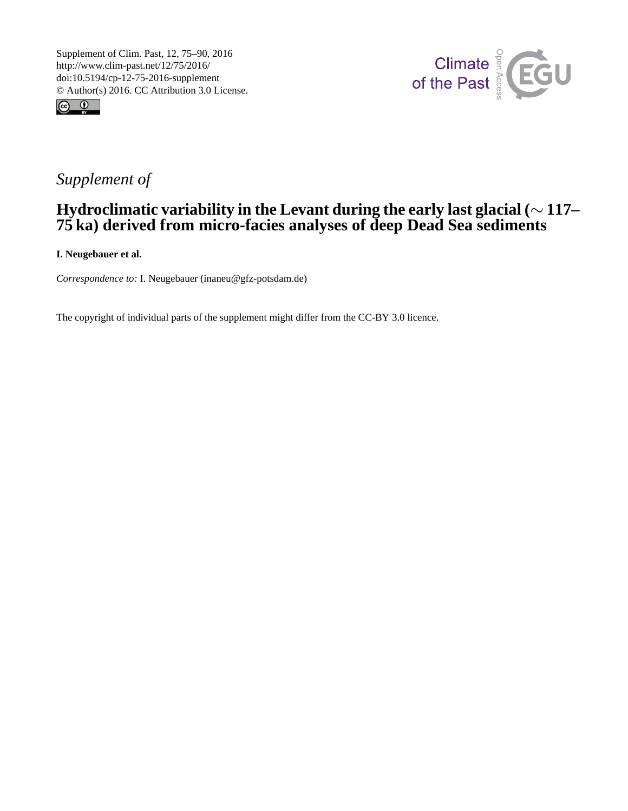



## *Supplement of*

## **Hydroclimatic variability in the Levant during the early last glacial (**∼ **117– 75 ka) derived from micro-facies analyses of deep Dead Sea sediments**

**I. Neugebauer et al.**

*Correspondence to:* I. Neugebauer (inaneu@gfz-potsdam.de)

The copyright of individual parts of the supplement might differ from the CC-BY 3.0 licence.